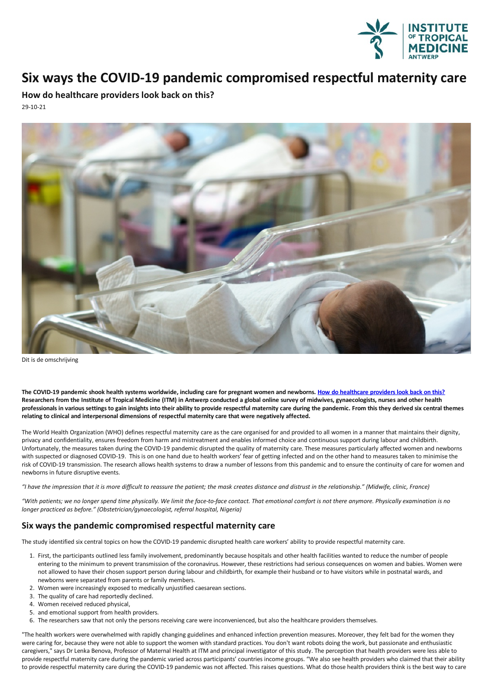

## **Six ways the COVID-19 pandemic compromised respectful maternitycare**

**How do healthcare providers look back on this?** 29-10-21



Dit is de omschrijving

The COVID-19 pandemic shook health systems worldwide, including care for pregnant women and newborns. How do [healthcare](https://www.itg.be/E/Article/the-great-forgotten-of-the-covid-19-pandemic) providers look back on this? Researchers from the Institute of Tropical Medicine (ITM) in Antwerp conducted a global online survey of midwives, gynaecologists, nurses and other health professionals in various settings to gain insights into their ability to provide respectful maternity care during the pandemic. From this they derived six central themes **relatingto clinical and interpersonal dimensions of respectful maternitycare that were negatively affected.**

The World Health Organization (WHO) defines respectful maternity care as the care organised forand provided to all women in a manner that maintains their dignity, privacy and confidentiality, ensures freedom from harm and mistreatment and enables informed choice and continuous support during labour and childbirth.<br>Unfortunately, the measures taken during the COVID-19 pandemic disrup risk of COVID-19 transmission. The research allows health systems to draw a number of lessons from this pandemic and to ensure the continuity of care for women and newborns in future disruptive events.

"I have the impression that it is more difficult to reassure the patient; the mask creates distance and distrust in the relationship." (Midwife, clinic, France)

"With patients; we no longer spend time physically. We limit the face-to-face contact. That emotional comfort is not there anymore. Physically examination is no *longer practiced as before." (Obstetrician/gynaecologist, referral hospital, Nigeria)*

## **Six ways the pandemic compromised respectful maternity care**

The study identified six central topics on how the COVID-19 pandemic disrupted health care workers'ability to provide respectful maternity care.

- 1. First, the participants outlined less family involvement, predominantly because hospitalsand other health facilities wanted to reduce the number of people entering to the minimum to prevent transmission of the coronavirus. However, these restrictions had serious consequences on women and babies. Women were not allowed to have their chosen support person during labour and childbirth, for example their husband or to have visitors while in postnatal wards, and newborns were separated from parents or family members.
- 2. Women were increasingly exposed to medically unjustified caesarean sections.
- 3. The quality of care had reportedly declined.
- 4. Women received reduced physical,
- 5. and emotional support from health providers.
- 6. The researchers saw that not only the persons receiving care were inconvenienced, but also the healthcare providers themselves.

"The health workers were overwhelmed with rapidly changing guidelines and enhanced infection prevention measures. Moreover, they felt bad for the women they<br>were caring for, because they were not able to support the women caregivers," says Dr Lenka Benova, Professor of Maternal Health at ITM and principal investigator of this study. The perception that health providers were less able to provide respectful maternity care during the pandemic varied across participants' countries income groups. "We also see health providers who claimed that their ability to provide respectful maternity care during the COVID-19 pandemic was not affected. This raises questions. What do those health providers think is the best way to care